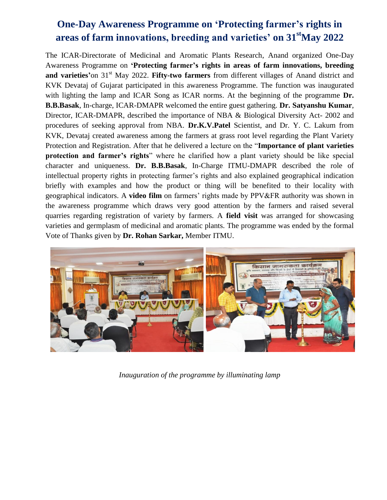## **One-Day Awareness Programme on 'Protecting farmer's rights in areas of farm innovations, breeding and varieties' on 31stMay 2022**

The ICAR-Directorate of Medicinal and Aromatic Plants Research, Anand organized One-Day Awareness Programme on **'Protecting farmer's rights in areas of farm innovations, breeding**  and varieties' on 31<sup>st</sup> May 2022. Fifty-two farmers from different villages of Anand district and KVK Devataj of Gujarat participated in this awareness Programme. The function was inaugurated with lighting the lamp and ICAR Song as ICAR norms. At the beginning of the programme **Dr. B.B.Basak**, In-charge, ICAR-DMAPR welcomed the entire guest gathering. **Dr. Satyanshu Kumar**, Director, ICAR-DMAPR, described the importance of NBA & Biological Diversity Act- 2002 and procedures of seeking approval from NBA. **Dr.K.V.Patel** Scientist, and Dr. Y. C. Lakum from KVK, Devataj created awareness among the farmers at grass root level regarding the Plant Variety Protection and Registration. After that he delivered a lecture on the "**Importance of plant varieties protection and farmer's rights**" where he clarified how a plant variety should be like special character and uniqueness. **Dr. B.B.Basak**, In-Charge ITMU-DMAPR described the role of intellectual property rights in protecting farmer's rights and also explained geographical indication briefly with examples and how the product or thing will be benefited to their locality with geographical indicators. A **video film** on farmers' rights made by PPV&FR authority was shown in the awareness programme which draws very good attention by the farmers and raised several quarries regarding registration of variety by farmers. A **field visit** was arranged for showcasing varieties and germplasm of medicinal and aromatic plants. The programme was ended by the formal Vote of Thanks given by **Dr. Rohan Sarkar,** Member ITMU.



*Inauguration of the programme by illuminating lamp*